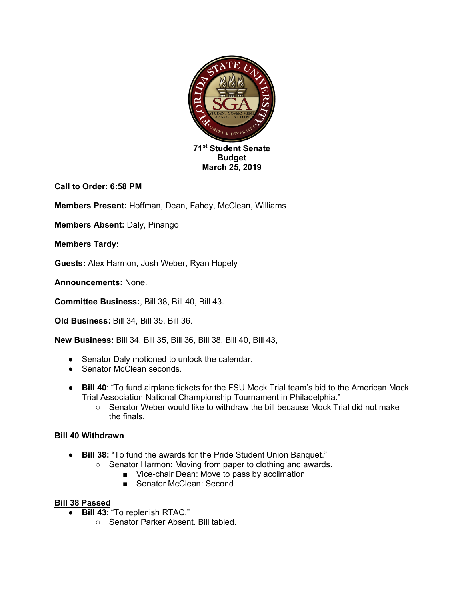

**Call to Order: 6:58 PM**

**Members Present:** Hoffman, Dean, Fahey, McClean, Williams

**Members Absent:** Daly, Pinango

**Members Tardy:** 

**Guests:** Alex Harmon, Josh Weber, Ryan Hopely

**Announcements:** None.

**Committee Business:**, Bill 38, Bill 40, Bill 43.

**Old Business:** Bill 34, Bill 35, Bill 36.

**New Business:** Bill 34, Bill 35, Bill 36, Bill 38, Bill 40, Bill 43,

- Senator Daly motioned to unlock the calendar.
- Senator McClean seconds.
- **Bill 40**: "To fund airplane tickets for the FSU Mock Trial team's bid to the American Mock Trial Association National Championship Tournament in Philadelphia."
	- Senator Weber would like to withdraw the bill because Mock Trial did not make the finals.

# **Bill 40 Withdrawn**

- **Bill 38:** "To fund the awards for the Pride Student Union Banquet."
	- Senator Harmon: Moving from paper to clothing and awards.
		- Vice-chair Dean: Move to pass by acclimation
		- Senator McClean: Second

# **Bill 38 Passed**

- **Bill 43**: "To replenish RTAC."
	- Senator Parker Absent. Bill tabled.